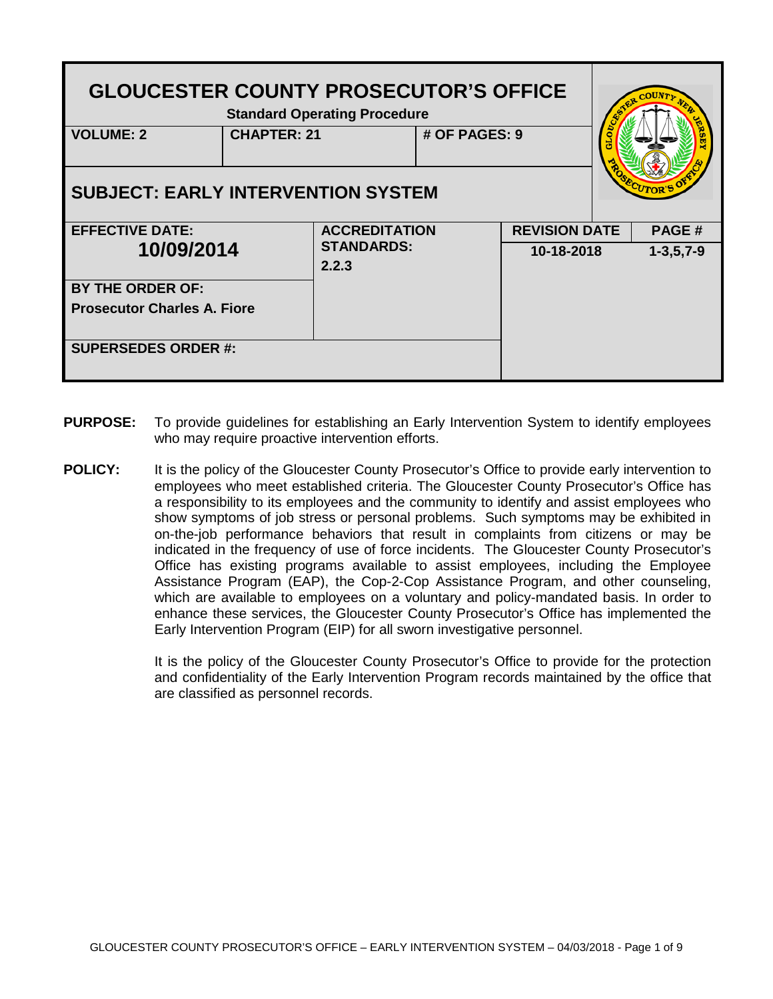| <b>GLOUCESTER COUNTY PROSECUTOR'S OFFICE</b><br><b>Standard Operating Procedure</b><br><b>VOLUME: 2</b><br><b>CHAPTER: 21</b><br># OF PAGES: 9 |  |                            |  |                                 |  |       |
|------------------------------------------------------------------------------------------------------------------------------------------------|--|----------------------------|--|---------------------------------|--|-------|
|                                                                                                                                                |  |                            |  |                                 |  |       |
| <b>SUBJECT: EARLY INTERVENTION SYSTEM</b>                                                                                                      |  |                            |  |                                 |  |       |
| <b>EFFECTIVE DATE:</b>                                                                                                                         |  | <b>ACCREDITATION</b>       |  | <b>REVISION DATE</b>            |  | PAGE# |
| 10/09/2014                                                                                                                                     |  | <b>STANDARDS:</b><br>2.2.3 |  | 10-18-2018<br>$1 - 3, 5, 7 - 9$ |  |       |
| <b>BY THE ORDER OF:</b>                                                                                                                        |  |                            |  |                                 |  |       |
| <b>Prosecutor Charles A. Fiore</b>                                                                                                             |  |                            |  |                                 |  |       |
| <b>SUPERSEDES ORDER #:</b>                                                                                                                     |  |                            |  |                                 |  |       |

- **PURPOSE:** To provide guidelines for establishing an Early Intervention System to identify employees who may require proactive intervention efforts.
- **POLICY:** It is the policy of the Gloucester County Prosecutor's Office to provide early intervention to employees who meet established criteria. The Gloucester County Prosecutor's Office has a responsibility to its employees and the community to identify and assist employees who show symptoms of job stress or personal problems. Such symptoms may be exhibited in on-the-job performance behaviors that result in complaints from citizens or may be indicated in the frequency of use of force incidents. The Gloucester County Prosecutor's Office has existing programs available to assist employees, including the Employee Assistance Program (EAP), the Cop-2-Cop Assistance Program, and other counseling, which are available to employees on a voluntary and policy-mandated basis. In order to enhance these services, the Gloucester County Prosecutor's Office has implemented the Early Intervention Program (EIP) for all sworn investigative personnel.

It is the policy of the Gloucester County Prosecutor's Office to provide for the protection and confidentiality of the Early Intervention Program records maintained by the office that are classified as personnel records.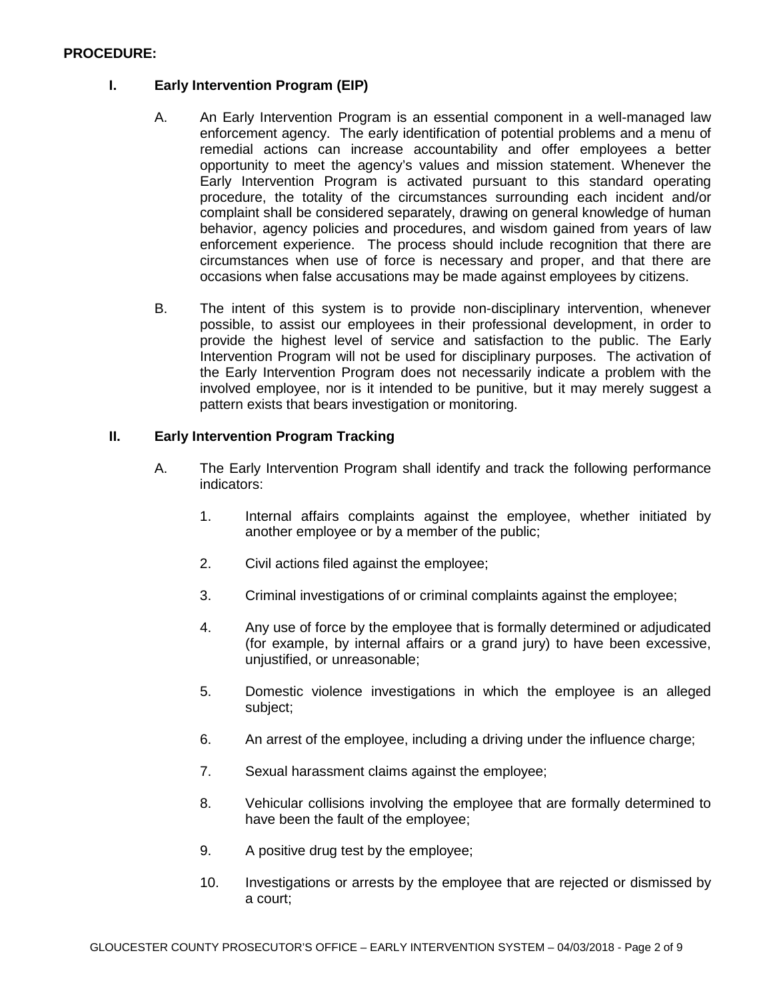#### **PROCEDURE:**

### **I. Early Intervention Program (EIP)**

- A. An Early Intervention Program is an essential component in a well-managed law enforcement agency. The early identification of potential problems and a menu of remedial actions can increase accountability and offer employees a better opportunity to meet the agency's values and mission statement. Whenever the Early Intervention Program is activated pursuant to this standard operating procedure, the totality of the circumstances surrounding each incident and/or complaint shall be considered separately, drawing on general knowledge of human behavior, agency policies and procedures, and wisdom gained from years of law enforcement experience. The process should include recognition that there are circumstances when use of force is necessary and proper, and that there are occasions when false accusations may be made against employees by citizens.
- B. The intent of this system is to provide non-disciplinary intervention, whenever possible, to assist our employees in their professional development, in order to provide the highest level of service and satisfaction to the public. The Early Intervention Program will not be used for disciplinary purposes. The activation of the Early Intervention Program does not necessarily indicate a problem with the involved employee, nor is it intended to be punitive, but it may merely suggest a pattern exists that bears investigation or monitoring.

#### **II. Early Intervention Program Tracking**

- A. The Early Intervention Program shall identify and track the following performance indicators:
	- 1. Internal affairs complaints against the employee, whether initiated by another employee or by a member of the public;
	- 2. Civil actions filed against the employee;
	- 3. Criminal investigations of or criminal complaints against the employee;
	- 4. Any use of force by the employee that is formally determined or adjudicated (for example, by internal affairs or a grand jury) to have been excessive, unjustified, or unreasonable;
	- 5. Domestic violence investigations in which the employee is an alleged subject;
	- 6. An arrest of the employee, including a driving under the influence charge;
	- 7. Sexual harassment claims against the employee;
	- 8. Vehicular collisions involving the employee that are formally determined to have been the fault of the employee;
	- 9. A positive drug test by the employee;
	- 10. Investigations or arrests by the employee that are rejected or dismissed by a court;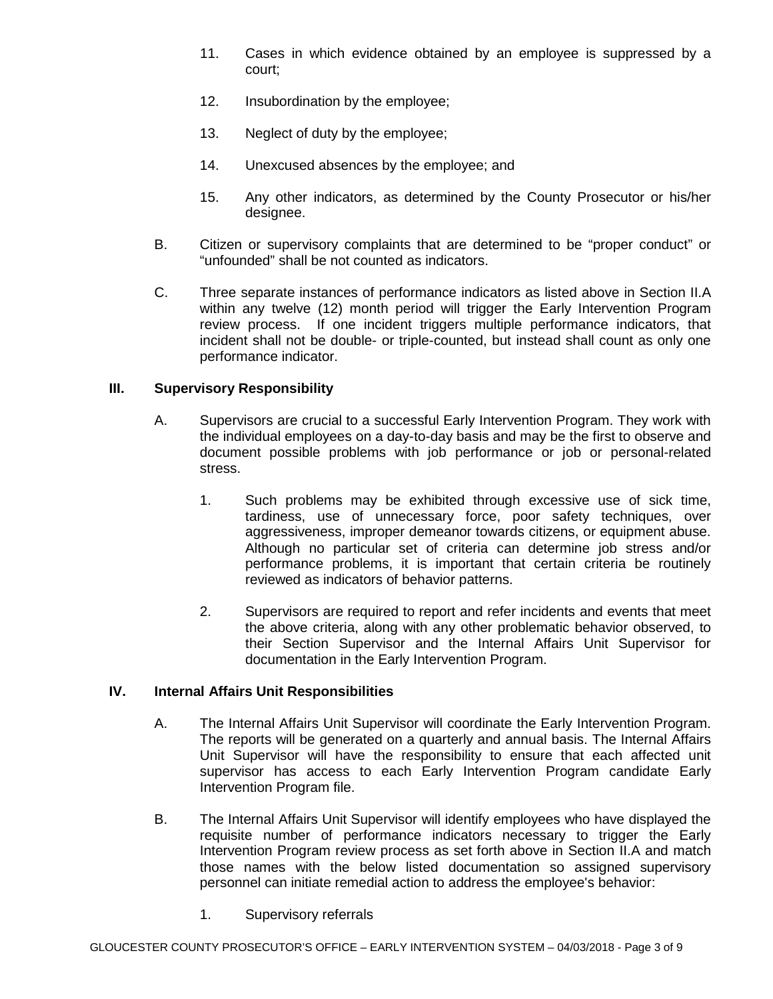- 11. Cases in which evidence obtained by an employee is suppressed by a court;
- 12. Insubordination by the employee;
- 13. Neglect of duty by the employee;
- 14. Unexcused absences by the employee; and
- 15. Any other indicators, as determined by the County Prosecutor or his/her designee.
- B. Citizen or supervisory complaints that are determined to be "proper conduct" or "unfounded" shall be not counted as indicators.
- C. Three separate instances of performance indicators as listed above in Section II.A within any twelve (12) month period will trigger the Early Intervention Program review process. If one incident triggers multiple performance indicators, that incident shall not be double- or triple-counted, but instead shall count as only one performance indicator.

### **III. Supervisory Responsibility**

- A. Supervisors are crucial to a successful Early Intervention Program. They work with the individual employees on a day-to-day basis and may be the first to observe and document possible problems with job performance or job or personal-related stress.
	- 1. Such problems may be exhibited through excessive use of sick time, tardiness, use of unnecessary force, poor safety techniques, over aggressiveness, improper demeanor towards citizens, or equipment abuse. Although no particular set of criteria can determine job stress and/or performance problems, it is important that certain criteria be routinely reviewed as indicators of behavior patterns.
	- 2. Supervisors are required to report and refer incidents and events that meet the above criteria, along with any other problematic behavior observed, to their Section Supervisor and the Internal Affairs Unit Supervisor for documentation in the Early Intervention Program.

### **IV. Internal Affairs Unit Responsibilities**

- A. The Internal Affairs Unit Supervisor will coordinate the Early Intervention Program. The reports will be generated on a quarterly and annual basis. The Internal Affairs Unit Supervisor will have the responsibility to ensure that each affected unit supervisor has access to each Early Intervention Program candidate Early Intervention Program file.
- B. The Internal Affairs Unit Supervisor will identify employees who have displayed the requisite number of performance indicators necessary to trigger the Early Intervention Program review process as set forth above in Section II.A and match those names with the below listed documentation so assigned supervisory personnel can initiate remedial action to address the employee's behavior:
	- 1. Supervisory referrals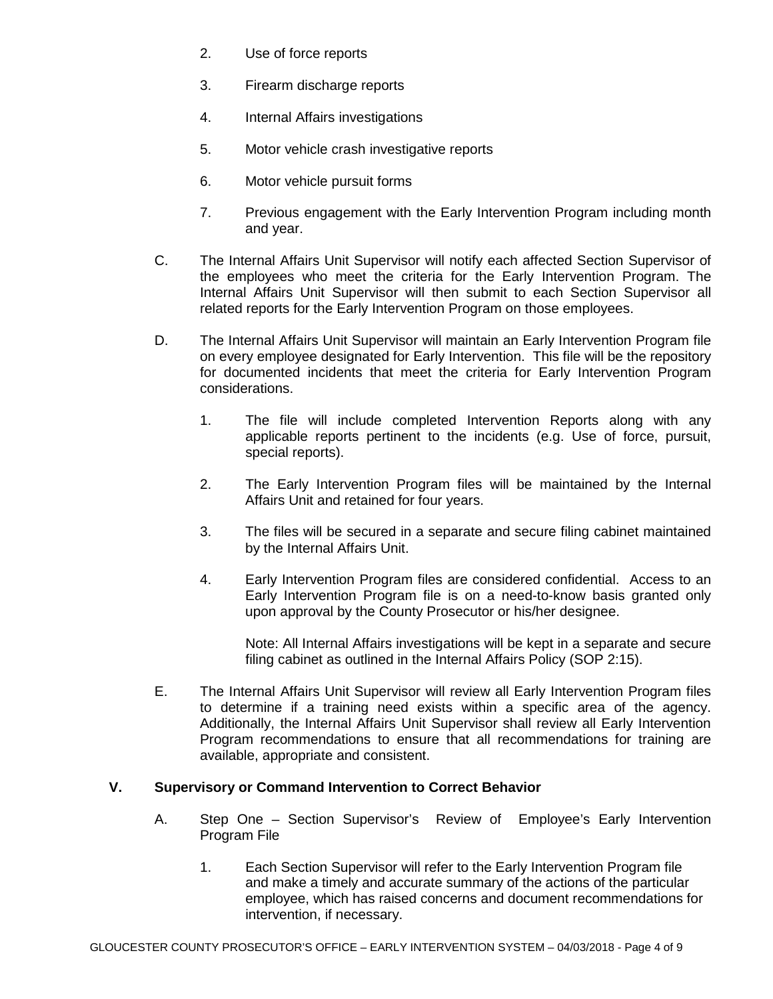- 2. Use of force reports
- 3. Firearm discharge reports
- 4. Internal Affairs investigations
- 5. Motor vehicle crash investigative reports
- 6. Motor vehicle pursuit forms
- 7. Previous engagement with the Early Intervention Program including month and year.
- C. The Internal Affairs Unit Supervisor will notify each affected Section Supervisor of the employees who meet the criteria for the Early Intervention Program. The Internal Affairs Unit Supervisor will then submit to each Section Supervisor all related reports for the Early Intervention Program on those employees.
- D. The Internal Affairs Unit Supervisor will maintain an Early Intervention Program file on every employee designated for Early Intervention. This file will be the repository for documented incidents that meet the criteria for Early Intervention Program considerations.
	- 1. The file will include completed Intervention Reports along with any applicable reports pertinent to the incidents (e.g. Use of force, pursuit, special reports).
	- 2. The Early Intervention Program files will be maintained by the Internal Affairs Unit and retained for four years.
	- 3. The files will be secured in a separate and secure filing cabinet maintained by the Internal Affairs Unit.
	- 4. Early Intervention Program files are considered confidential. Access to an Early Intervention Program file is on a need-to-know basis granted only upon approval by the County Prosecutor or his/her designee.

Note: All Internal Affairs investigations will be kept in a separate and secure filing cabinet as outlined in the Internal Affairs Policy (SOP 2:15).

E. The Internal Affairs Unit Supervisor will review all Early Intervention Program files to determine if a training need exists within a specific area of the agency. Additionally, the Internal Affairs Unit Supervisor shall review all Early Intervention Program recommendations to ensure that all recommendations for training are available, appropriate and consistent.

### **V. Supervisory or Command Intervention to Correct Behavior**

- A. Step One Section Supervisor's Review of Employee's Early Intervention Program File
	- 1. Each Section Supervisor will refer to the Early Intervention Program file and make a timely and accurate summary of the actions of the particular employee, which has raised concerns and document recommendations for intervention, if necessary.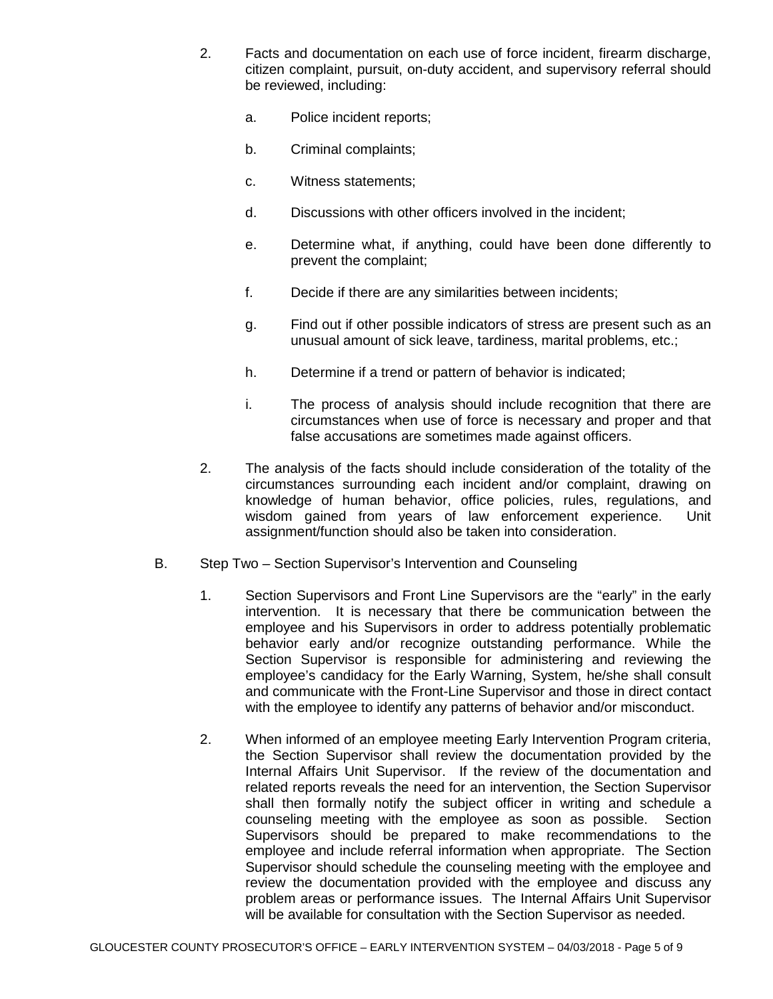- 2. Facts and documentation on each use of force incident, firearm discharge, citizen complaint, pursuit, on-duty accident, and supervisory referral should be reviewed, including:
	- a. Police incident reports;
	- b. Criminal complaints;
	- c. Witness statements;
	- d. Discussions with other officers involved in the incident;
	- e. Determine what, if anything, could have been done differently to prevent the complaint;
	- f. Decide if there are any similarities between incidents;
	- g. Find out if other possible indicators of stress are present such as an unusual amount of sick leave, tardiness, marital problems, etc.;
	- h. Determine if a trend or pattern of behavior is indicated;
	- i. The process of analysis should include recognition that there are circumstances when use of force is necessary and proper and that false accusations are sometimes made against officers.
- 2. The analysis of the facts should include consideration of the totality of the circumstances surrounding each incident and/or complaint, drawing on knowledge of human behavior, office policies, rules, regulations, and wisdom gained from years of law enforcement experience. Unit assignment/function should also be taken into consideration.
- B. Step Two Section Supervisor's Intervention and Counseling
	- 1. Section Supervisors and Front Line Supervisors are the "early" in the early intervention. It is necessary that there be communication between the employee and his Supervisors in order to address potentially problematic behavior early and/or recognize outstanding performance. While the Section Supervisor is responsible for administering and reviewing the employee's candidacy for the Early Warning, System, he/she shall consult and communicate with the Front-Line Supervisor and those in direct contact with the employee to identify any patterns of behavior and/or misconduct.
	- 2. When informed of an employee meeting Early Intervention Program criteria, the Section Supervisor shall review the documentation provided by the Internal Affairs Unit Supervisor. If the review of the documentation and related reports reveals the need for an intervention, the Section Supervisor shall then formally notify the subject officer in writing and schedule a counseling meeting with the employee as soon as possible. Section Supervisors should be prepared to make recommendations to the employee and include referral information when appropriate. The Section Supervisor should schedule the counseling meeting with the employee and review the documentation provided with the employee and discuss any problem areas or performance issues. The Internal Affairs Unit Supervisor will be available for consultation with the Section Supervisor as needed.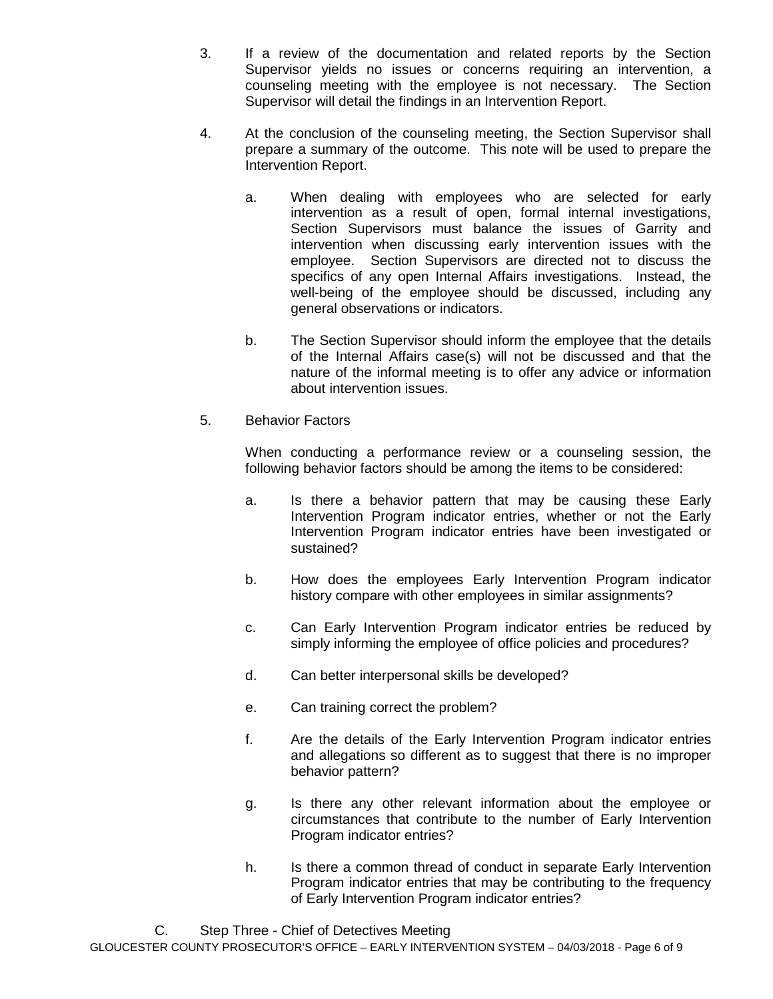- 3. If a review of the documentation and related reports by the Section Supervisor yields no issues or concerns requiring an intervention, a counseling meeting with the employee is not necessary. The Section Supervisor will detail the findings in an Intervention Report.
- 4. At the conclusion of the counseling meeting, the Section Supervisor shall prepare a summary of the outcome. This note will be used to prepare the Intervention Report.
	- a. When dealing with employees who are selected for early intervention as a result of open, formal internal investigations, Section Supervisors must balance the issues of Garrity and intervention when discussing early intervention issues with the employee. Section Supervisors are directed not to discuss the specifics of any open Internal Affairs investigations. Instead, the well-being of the employee should be discussed, including any general observations or indicators.
	- b. The Section Supervisor should inform the employee that the details of the Internal Affairs case(s) will not be discussed and that the nature of the informal meeting is to offer any advice or information about intervention issues.
- 5. Behavior Factors

When conducting a performance review or a counseling session, the following behavior factors should be among the items to be considered:

- a. Is there a behavior pattern that may be causing these Early Intervention Program indicator entries, whether or not the Early Intervention Program indicator entries have been investigated or sustained?
- b. How does the employees Early Intervention Program indicator history compare with other employees in similar assignments?
- c. Can Early Intervention Program indicator entries be reduced by simply informing the employee of office policies and procedures?
- d. Can better interpersonal skills be developed?
- e. Can training correct the problem?
- f. Are the details of the Early Intervention Program indicator entries and allegations so different as to suggest that there is no improper behavior pattern?
- g. Is there any other relevant information about the employee or circumstances that contribute to the number of Early Intervention Program indicator entries?
- h. Is there a common thread of conduct in separate Early Intervention Program indicator entries that may be contributing to the frequency of Early Intervention Program indicator entries?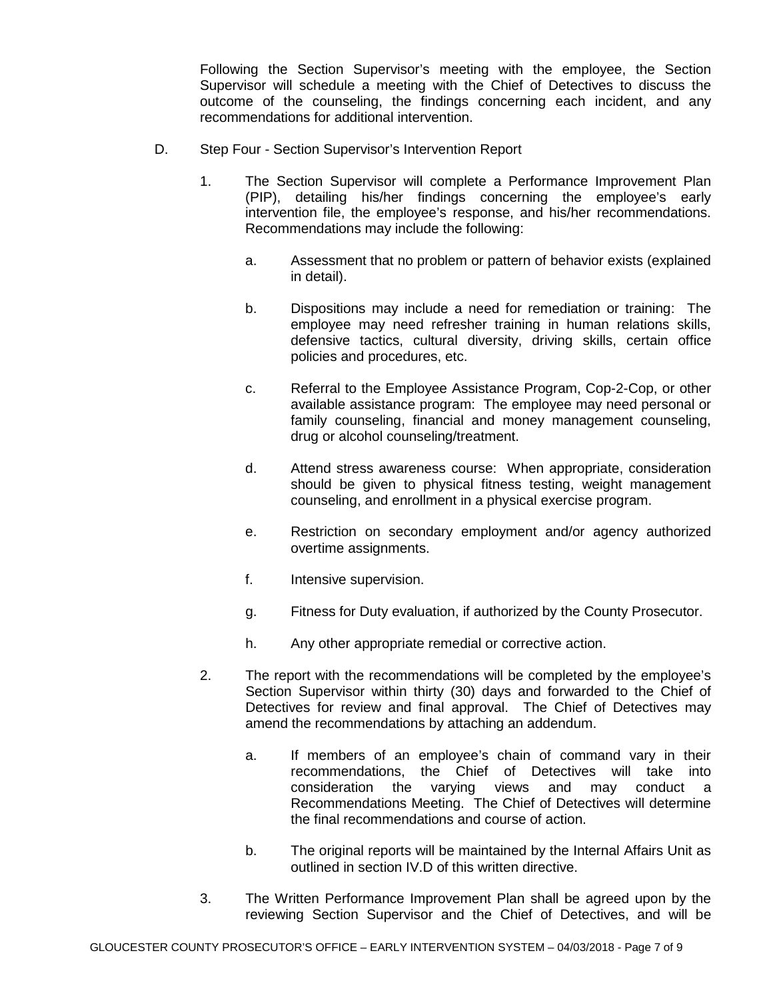Following the Section Supervisor's meeting with the employee, the Section Supervisor will schedule a meeting with the Chief of Detectives to discuss the outcome of the counseling, the findings concerning each incident, and any recommendations for additional intervention.

- D. Step Four Section Supervisor's Intervention Report
	- 1. The Section Supervisor will complete a Performance Improvement Plan (PIP), detailing his/her findings concerning the employee's early intervention file, the employee's response, and his/her recommendations. Recommendations may include the following:
		- a. Assessment that no problem or pattern of behavior exists (explained in detail).
		- b. Dispositions may include a need for remediation or training: The employee may need refresher training in human relations skills, defensive tactics, cultural diversity, driving skills, certain office policies and procedures, etc.
		- c. Referral to the Employee Assistance Program, Cop-2-Cop, or other available assistance program: The employee may need personal or family counseling, financial and money management counseling, drug or alcohol counseling/treatment.
		- d. Attend stress awareness course: When appropriate, consideration should be given to physical fitness testing, weight management counseling, and enrollment in a physical exercise program.
		- e. Restriction on secondary employment and/or agency authorized overtime assignments.
		- f. Intensive supervision.
		- g. Fitness for Duty evaluation, if authorized by the County Prosecutor.
		- h. Any other appropriate remedial or corrective action.
	- 2. The report with the recommendations will be completed by the employee's Section Supervisor within thirty (30) days and forwarded to the Chief of Detectives for review and final approval. The Chief of Detectives may amend the recommendations by attaching an addendum.
		- a. If members of an employee's chain of command vary in their recommendations, the Chief of Detectives will take into consideration the varying views and may conduct a Recommendations Meeting. The Chief of Detectives will determine the final recommendations and course of action.
		- b. The original reports will be maintained by the Internal Affairs Unit as outlined in section IV.D of this written directive.
	- 3. The Written Performance Improvement Plan shall be agreed upon by the reviewing Section Supervisor and the Chief of Detectives, and will be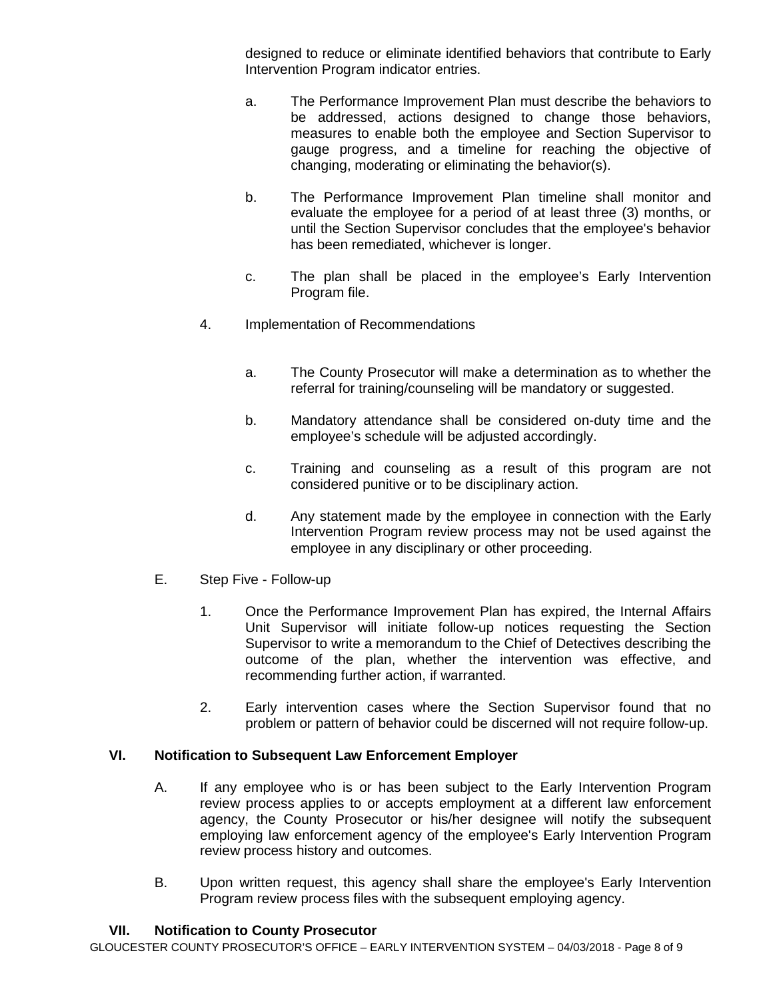designed to reduce or eliminate identified behaviors that contribute to Early Intervention Program indicator entries.

- a. The Performance Improvement Plan must describe the behaviors to be addressed, actions designed to change those behaviors, measures to enable both the employee and Section Supervisor to gauge progress, and a timeline for reaching the objective of changing, moderating or eliminating the behavior(s).
- b. The Performance Improvement Plan timeline shall monitor and evaluate the employee for a period of at least three (3) months, or until the Section Supervisor concludes that the employee's behavior has been remediated, whichever is longer.
- c. The plan shall be placed in the employee's Early Intervention Program file.
- 4. Implementation of Recommendations
	- a. The County Prosecutor will make a determination as to whether the referral for training/counseling will be mandatory or suggested.
	- b. Mandatory attendance shall be considered on-duty time and the employee's schedule will be adjusted accordingly.
	- c. Training and counseling as a result of this program are not considered punitive or to be disciplinary action.
	- d. Any statement made by the employee in connection with the Early Intervention Program review process may not be used against the employee in any disciplinary or other proceeding.
- E. Step Five Follow-up
	- 1. Once the Performance Improvement Plan has expired, the Internal Affairs Unit Supervisor will initiate follow-up notices requesting the Section Supervisor to write a memorandum to the Chief of Detectives describing the outcome of the plan, whether the intervention was effective, and recommending further action, if warranted.
	- 2. Early intervention cases where the Section Supervisor found that no problem or pattern of behavior could be discerned will not require follow-up.

## **VI. Notification to Subsequent Law Enforcement Employer**

- A. If any employee who is or has been subject to the Early Intervention Program review process applies to or accepts employment at a different law enforcement agency, the County Prosecutor or his/her designee will notify the subsequent employing law enforcement agency of the employee's Early Intervention Program review process history and outcomes.
- B. Upon written request, this agency shall share the employee's Early Intervention Program review process files with the subsequent employing agency.

# **VII. Notification to County Prosecutor**

GLOUCESTER COUNTY PROSECUTOR'S OFFICE – EARLY INTERVENTION SYSTEM – 04/03/2018 - Page 8 of 9